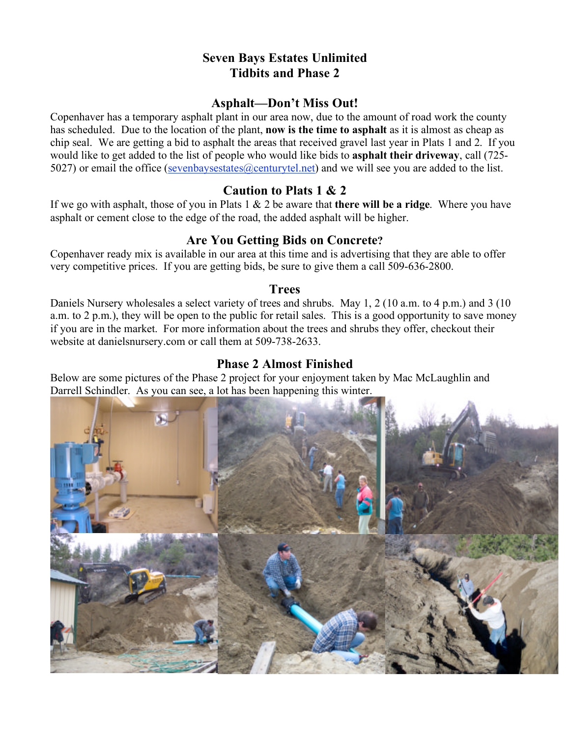# **Seven Bays Estates Unlimited Tidbits and Phase 2**

#### **Asphalt—Don't Miss Out!**

Copenhaver has a temporary asphalt plant in our area now, due to the amount of road work the county has scheduled. Due to the location of the plant, **now is the time to asphalt** as it is almost as cheap as chip seal. We are getting a bid to asphalt the areas that received gravel last year in Plats 1 and 2. If you would like to get added to the list of people who would like bids to **asphalt their driveway**, call (725- 5027) or email the office (sevenbaysestates  $(a)$  centurytel.net) and we will see you are added to the list.

## **Caution to Plats 1 & 2**

If we go with asphalt, those of you in Plats 1 & 2 be aware that **there will be a ridge**. Where you have asphalt or cement close to the edge of the road, the added asphalt will be higher.

# **Are You Getting Bids on Concrete?**

Copenhaver ready mix is available in our area at this time and is advertising that they are able to offer very competitive prices. If you are getting bids, be sure to give them a call 509-636-2800.

#### **Trees**

Daniels Nursery wholesales a select variety of trees and shrubs. May 1, 2 (10 a.m. to 4 p.m.) and 3 (10 a.m. to 2 p.m.), they will be open to the public for retail sales. This is a good opportunity to save money if you are in the market. For more information about the trees and shrubs they offer, checkout their website at danielsnursery.com or call them at 509-738-2633.

## **Phase 2 Almost Finished**

Below are some pictures of the Phase 2 project for your enjoyment taken by Mac McLaughlin and Darrell Schindler. As you can see, a lot has been happening this winter.